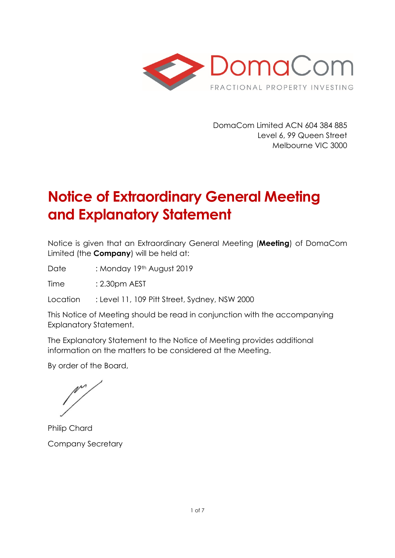

DomaCom Limited ACN 604 384 885 Level 6, 99 Queen Street Melbourne VIC 3000

# **Notice of Extraordinary General Meeting and Explanatory Statement**

Notice is given that an Extraordinary General Meeting (**Meeting**) of DomaCom Limited (the **Company**) will be held at:

Date : Monday 19th August 2019

Time : 2.30pm AEST

Location : Level 11, 109 Pitt Street, Sydney, NSW 2000

This Notice of Meeting should be read in conjunction with the accompanying Explanatory Statement.

The Explanatory Statement to the Notice of Meeting provides additional information on the matters to be considered at the Meeting.

By order of the Board,

Philip Chard Company Secretary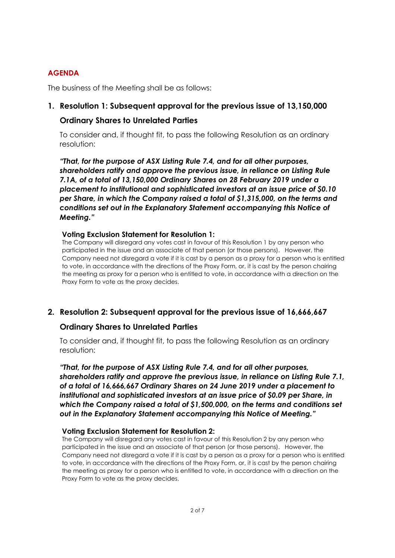#### **AGENDA**

The business of the Meeting shall be as follows:

### **1. Resolution 1: Subsequent approval for the previous issue of 13,150,000**

#### **Ordinary Shares to Unrelated Parties**

To consider and, if thought fit, to pass the following Resolution as an ordinary resolution:

*"That, for the purpose of ASX Listing Rule 7.4, and for all other purposes, shareholders ratify and approve the previous issue, in reliance on Listing Rule 7.1A, of a total of 13,150,000 Ordinary Shares on 28 February 2019 under a placement to institutional and sophisticated investors at an issue price of \$0.10 per Share, in which the Company raised a total of \$1,315,000, on the terms and conditions set out in the Explanatory Statement accompanying this Notice of Meeting."* 

#### **Voting Exclusion Statement for Resolution 1:**

The Company will disregard any votes cast in favour of this Resolution 1 by any person who participated in the issue and an associate of that person (or those persons). However, the Company need not disregard a vote if it is cast by a person as a proxy for a person who is entitled to vote, in accordance with the directions of the Proxy Form, or, it is cast by the person chairing the meeting as proxy for a person who is entitled to vote, in accordance with a direction on the Proxy Form to vote as the proxy decides.

### **2. Resolution 2: Subsequent approval for the previous issue of 16,666,667**

### **Ordinary Shares to Unrelated Parties**

To consider and, if thought fit, to pass the following Resolution as an ordinary resolution:

*"That, for the purpose of ASX Listing Rule 7.4, and for all other purposes, shareholders ratify and approve the previous issue, in reliance on Listing Rule 7.1, of a total of 16,666,667 Ordinary Shares on 24 June 2019 under a placement to institutional and sophisticated investors at an issue price of \$0.09 per Share, in which the Company raised a total of \$1,500,000, on the terms and conditions set out in the Explanatory Statement accompanying this Notice of Meeting."* 

#### **Voting Exclusion Statement for Resolution 2:**

The Company will disregard any votes cast in favour of this Resolution 2 by any person who participated in the issue and an associate of that person (or those persons). However, the Company need not disregard a vote if it is cast by a person as a proxy for a person who is entitled to vote, in accordance with the directions of the Proxy Form, or, it is cast by the person chairing the meeting as proxy for a person who is entitled to vote, in accordance with a direction on the Proxy Form to vote as the proxy decides.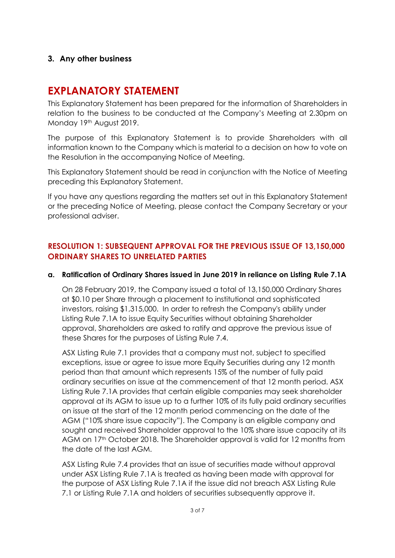### **3. Any other business**

## **EXPLANATORY STATEMENT**

This Explanatory Statement has been prepared for the information of Shareholders in relation to the business to be conducted at the Company's Meeting at 2.30pm on Monday 19th August 2019.

The purpose of this Explanatory Statement is to provide Shareholders with all information known to the Company which is material to a decision on how to vote on the Resolution in the accompanying Notice of Meeting.

This Explanatory Statement should be read in conjunction with the Notice of Meeting preceding this Explanatory Statement.

If you have any questions regarding the matters set out in this Explanatory Statement or the preceding Notice of Meeting, please contact the Company Secretary or your professional adviser.

### **RESOLUTION 1: SUBSEQUENT APPROVAL FOR THE PREVIOUS ISSUE OF 13,150,000 ORDINARY SHARES TO UNRELATED PARTIES**

#### **a. Ratification of Ordinary Shares issued in June 2019 in reliance on Listing Rule 7.1A**

On 28 February 2019, the Company issued a total of 13,150,000 Ordinary Shares at \$0.10 per Share through a placement to institutional and sophisticated investors, raising \$1,315,000. In order to refresh the Company's ability under Listing Rule 7.1A to issue Equity Securities without obtaining Shareholder approval, Shareholders are asked to ratify and approve the previous issue of these Shares for the purposes of Listing Rule 7.4.

ASX Listing Rule 7.1 provides that a company must not, subject to specified exceptions, issue or agree to issue more Equity Securities during any 12 month period than that amount which represents 15% of the number of fully paid ordinary securities on issue at the commencement of that 12 month period. ASX Listing Rule 7.1A provides that certain eligible companies may seek shareholder approval at its AGM to issue up to a further 10% of its fully paid ordinary securities on issue at the start of the 12 month period commencing on the date of the AGM ("10% share issue capacity"). The Company is an eligible company and sought and received Shareholder approval to the 10% share issue capacity at its AGM on 17<sup>th</sup> October 2018. The Shareholder approval is valid for 12 months from the date of the last AGM.

ASX Listing Rule 7.4 provides that an issue of securities made without approval under ASX Listing Rule 7.1A is treated as having been made with approval for the purpose of ASX Listing Rule 7.1A if the issue did not breach ASX Listing Rule 7.1 or Listing Rule 7.1A and holders of securities subsequently approve it.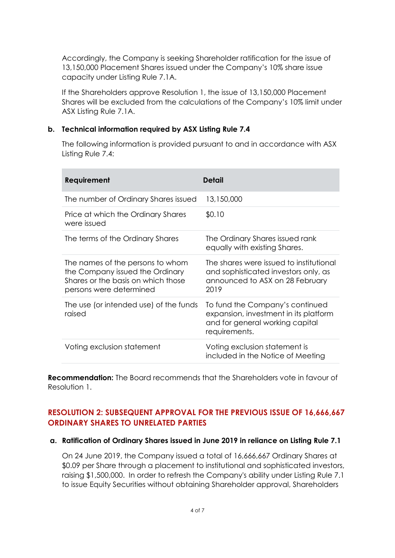Accordingly, the Company is seeking Shareholder ratification for the issue of 13,150,000 Placement Shares issued under the Company's 10% share issue capacity under Listing Rule 7.1A.

If the Shareholders approve Resolution 1, the issue of 13,150,000 Placement Shares will be excluded from the calculations of the Company's 10% limit under ASX Listing Rule 7.1A.

#### **b. Technical information required by ASX Listing Rule 7.4**

The following information is provided pursuant to and in accordance with ASX Listing Rule 7.4:

| Requirement                                                                                                                          | Detail                                                                                                                       |
|--------------------------------------------------------------------------------------------------------------------------------------|------------------------------------------------------------------------------------------------------------------------------|
| The number of Ordinary Shares issued                                                                                                 | 13,150,000                                                                                                                   |
| Price at which the Ordinary Shares<br>were issued                                                                                    | \$0.10                                                                                                                       |
| The terms of the Ordinary Shares                                                                                                     | The Ordinary Shares issued rank<br>equally with existing Shares.                                                             |
| The names of the persons to whom<br>the Company issued the Ordinary<br>Shares or the basis on which those<br>persons were determined | The shares were issued to institutional<br>and sophisticated investors only, as<br>announced to ASX on 28 February<br>2019   |
| The use (or intended use) of the funds<br>raised                                                                                     | To fund the Company's continued<br>expansion, investment in its platform<br>and for general working capital<br>requirements. |
| Voting exclusion statement                                                                                                           | Voting exclusion statement is<br>included in the Notice of Meeting                                                           |

**Recommendation:** The Board recommends that the Shareholders vote in favour of Resolution 1.

### **RESOLUTION 2: SUBSEQUENT APPROVAL FOR THE PREVIOUS ISSUE OF 16,666,667 ORDINARY SHARES TO UNRELATED PARTIES**

#### **a. Ratification of Ordinary Shares issued in June 2019 in reliance on Listing Rule 7.1**

On 24 June 2019, the Company issued a total of 16,666,667 Ordinary Shares at \$0.09 per Share through a placement to institutional and sophisticated investors, raising \$1,500,000. In order to refresh the Company's ability under Listing Rule 7.1 to issue Equity Securities without obtaining Shareholder approval, Shareholders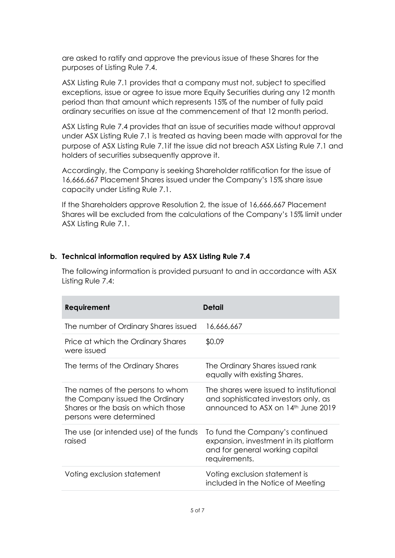are asked to ratify and approve the previous issue of these Shares for the purposes of Listing Rule 7.4.

ASX Listing Rule 7.1 provides that a company must not, subject to specified exceptions, issue or agree to issue more Equity Securities during any 12 month period than that amount which represents 15% of the number of fully paid ordinary securities on issue at the commencement of that 12 month period.

ASX Listing Rule 7.4 provides that an issue of securities made without approval under ASX Listing Rule 7.1 is treated as having been made with approval for the purpose of ASX Listing Rule 7.1if the issue did not breach ASX Listing Rule 7.1 and holders of securities subsequently approve it.

Accordingly, the Company is seeking Shareholder ratification for the issue of 16,666,667 Placement Shares issued under the Company's 15% share issue capacity under Listing Rule 7.1.

If the Shareholders approve Resolution 2, the issue of 16,666,667 Placement Shares will be excluded from the calculations of the Company's 15% limit under ASX Listing Rule 7.1.

#### **b. Technical information required by ASX Listing Rule 7.4**

The following information is provided pursuant to and in accordance with ASX Listing Rule 7.4:

| Requirement                                                                                                                          | Detail                                                                                                                       |
|--------------------------------------------------------------------------------------------------------------------------------------|------------------------------------------------------------------------------------------------------------------------------|
| The number of Ordinary Shares issued                                                                                                 | 16,666,667                                                                                                                   |
| Price at which the Ordinary Shares<br>were issued                                                                                    | \$0.09                                                                                                                       |
| The terms of the Ordinary Shares                                                                                                     | The Ordinary Shares issued rank<br>equally with existing Shares.                                                             |
| The names of the persons to whom<br>the Company issued the Ordinary<br>Shares or the basis on which those<br>persons were determined | The shares were issued to institutional<br>and sophisticated investors only, as<br>announced to ASX on 14th June 2019        |
| The use (or intended use) of the funds<br>raised                                                                                     | To fund the Company's continued<br>expansion, investment in its platform<br>and for general working capital<br>requirements. |
| Voting exclusion statement                                                                                                           | Voting exclusion statement is<br>included in the Notice of Meeting                                                           |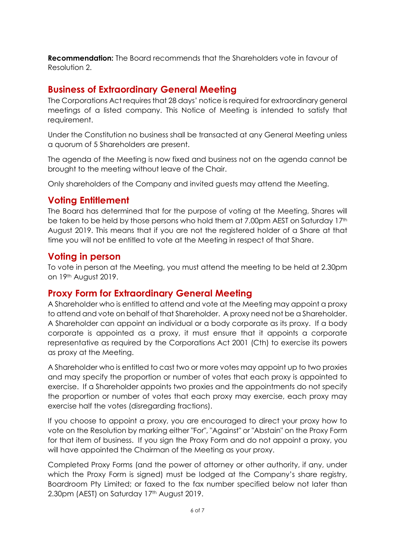**Recommendation:** The Board recommends that the Shareholders vote in favour of Resolution 2.

### **Business of Extraordinary General Meeting**

The Corporations Act requires that 28 days' notice is required for extraordinary general meetings of a listed company. This Notice of Meeting is intended to satisfy that requirement.

Under the Constitution no business shall be transacted at any General Meeting unless a quorum of 5 Shareholders are present.

The agenda of the Meeting is now fixed and business not on the agenda cannot be brought to the meeting without leave of the Chair.

Only shareholders of the Company and invited guests may attend the Meeting.

### **Voting Entitlement**

The Board has determined that for the purpose of voting at the Meeting, Shares will be taken to be held by those persons who hold them at 7.00pm AEST on Saturday 17th August 2019. This means that if you are not the registered holder of a Share at that time you will not be entitled to vote at the Meeting in respect of that Share.

#### **Voting in person**

To vote in person at the Meeting, you must attend the meeting to be held at 2.30pm on 19th August 2019.

### **Proxy Form for Extraordinary General Meeting**

A Shareholder who is entitled to attend and vote at the Meeting may appoint a proxy to attend and vote on behalf of that Shareholder. A proxy need not be a Shareholder. A Shareholder can appoint an individual or a body corporate as its proxy. If a body corporate is appointed as a proxy, it must ensure that it appoints a corporate representative as required by the Corporations Act 2001 (Cth) to exercise its powers as proxy at the Meeting.

A Shareholder who is entitled to cast two or more votes may appoint up to two proxies and may specify the proportion or number of votes that each proxy is appointed to exercise. If a Shareholder appoints two proxies and the appointments do not specify the proportion or number of votes that each proxy may exercise, each proxy may exercise half the votes (disregarding fractions).

If you choose to appoint a proxy, you are encouraged to direct your proxy how to vote on the Resolution by marking either "For", "Against" or "Abstain" on the Proxy Form for that item of business. If you sign the Proxy Form and do not appoint a proxy, you will have appointed the Chairman of the Meeting as your proxy.

Completed Proxy Forms (and the power of attorney or other authority, if any, under which the Proxy Form is signed) must be lodged at the Company's share registry, Boardroom Pty Limited; or faxed to the fax number specified below not later than 2.30pm (AEST) on Saturday 17th August 2019.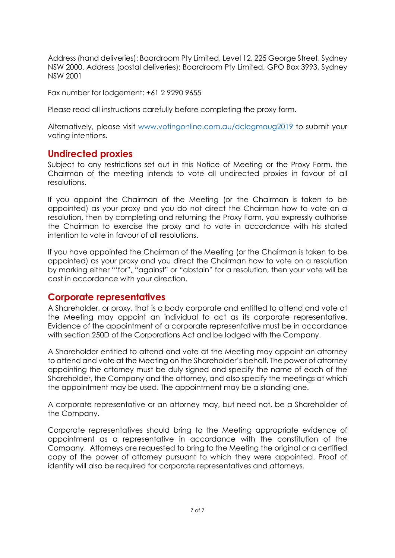Address (hand deliveries): Boardroom Pty Limited, Level 12, 225 George Street, Sydney NSW 2000. Address (postal deliveries): Boardroom Pty Limited, GPO Box 3993, Sydney NSW 2001

Fax number for lodgement: +61 2 9290 9655

Please read all instructions carefully before completing the proxy form.

Alternatively, please visit [www.votingonline.com.au/dclegmaug2019](http://www.votingonline.com.au/dclegmaug2019) to submit your voting intentions.

### **Undirected proxies**

Subject to any restrictions set out in this Notice of Meeting or the Proxy Form, the Chairman of the meeting intends to vote all undirected proxies in favour of all resolutions.

If you appoint the Chairman of the Meeting (or the Chairman is taken to be appointed) as your proxy and you do not direct the Chairman how to vote on a resolution, then by completing and returning the Proxy Form, you expressly authorise the Chairman to exercise the proxy and to vote in accordance with his stated intention to vote in favour of all resolutions.

If you have appointed the Chairman of the Meeting (or the Chairman is taken to be appointed) as your proxy and you direct the Chairman how to vote on a resolution by marking either "'for", "against" or "abstain" for a resolution, then your vote will be cast in accordance with your direction.

### **Corporate representatives**

A Shareholder, or proxy, that is a body corporate and entitled to attend and vote at the Meeting may appoint an individual to act as its corporate representative. Evidence of the appointment of a corporate representative must be in accordance with section 250D of the Corporations Act and be lodged with the Company.

A Shareholder entitled to attend and vote at the Meeting may appoint an attorney to attend and vote at the Meeting on the Shareholder's behalf. The power of attorney appointing the attorney must be duly signed and specify the name of each of the Shareholder, the Company and the attorney, and also specify the meetings at which the appointment may be used. The appointment may be a standing one.

A corporate representative or an attorney may, but need not, be a Shareholder of the Company.

Corporate representatives should bring to the Meeting appropriate evidence of appointment as a representative in accordance with the constitution of the Company. Attorneys are requested to bring to the Meeting the original or a certified copy of the power of attorney pursuant to which they were appointed. Proof of identity will also be required for corporate representatives and attorneys.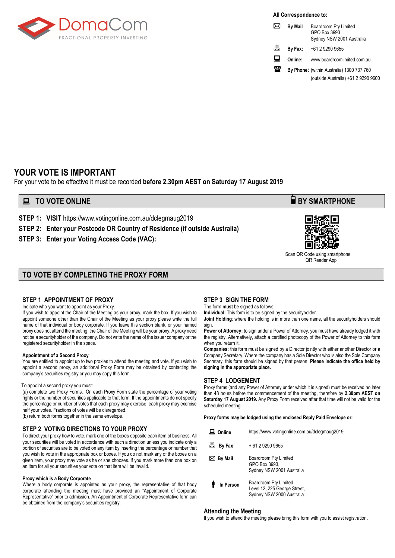

**All Correspondence to:**

|   | <b>By Mail</b> | Boardroom Pty Limited<br>GPO Box 3993<br>Sydney NSW 2001 Australia |
|---|----------------|--------------------------------------------------------------------|
| 昌 | By Fax:        | +61 2 9290 9655                                                    |
| 旦 | Online:        | www.boardroomlimited.com.au                                        |
| ₩ |                | By Phone: (within Australia) 1300 737 760                          |
|   |                | (outside Australia) +61 2 9290 9600                                |

### **YOUR VOTE IS IMPORTANT**

For your vote to be effective it must be recorded **before 2.30pm AEST on Saturday 17 August 2019**

**STEP 1: VISIT https://www.votingonline.com.au/dclegmaug2019** 

**STEP 2: Enter your Postcode OR Country of Residence (if outside Australia)**

**STEP 3: Enter your Voting Access Code (VAC):**

#### **TO VOTE BY COMPLETING THE PROXY FORM**

#### **STEP 1 APPOINTMENT OF PROXY**

Indicate who you want to appoint as your Proxy.

If you wish to appoint the Chair of the Meeting as your proxy, mark the box. If you wish to appoint someone other than the Chair of the Meeting as your proxy please write the full name of that individual or body corporate. If you leave this section blank, or your named proxy does not attend the meeting, the Chair of the Meeting will be your proxy. A proxy need not be a securityholder of the company. Do not write the name of the issuer company or the registered securityholder in the space.

#### **Appointment of a Second Proxy**

You are entitled to appoint up to two proxies to attend the meeting and vote. If you wish to appoint a second proxy, an additional Proxy Form may be obtained by contacting the company's securities registry or you may copy this form.

#### To appoint a second proxy you must:

(a) complete two Proxy Forms. On each Proxy Form state the percentage of your voting rights or the number of securities applicable to that form. If the appointments do not specify the percentage or number of votes that each proxy may exercise, each proxy may exercise half your votes. Fractions of votes will be disregarded. (b) return both forms together in the same envelope.

#### **STEP 2 VOTING DIRECTIONS TO YOUR PROXY**

To direct your proxy how to vote, mark one of the boxes opposite each item of business. All your securities will be voted in accordance with such a direction unless you indicate only a portion of securities are to be voted on any item by inserting the percentage or number that you wish to vote in the appropriate box or boxes. If you do not mark any of the boxes on a given item, your proxy may vote as he or she chooses. If you mark more than one box on an item for all your securities your vote on that item will be invalid.

#### **Proxy which is a Body Corporate**

Where a body corporate is appointed as your proxy, the representative of that body corporate attending the meeting must have provided an "Appointment of Corporate Representative" prior to admission. An Appointment of Corporate Representative form can be obtained from the company's securities registry.

#### **STEP 3 SIGN THE FORM**

The form **must** be signed as follows: **Individual:** This form is to be signed by the securityholder.

**Joint Holding**: where the holding is in more than one name, all the securityholders should sign.

**Power of Attorney:** to sign under a Power of Attorney, you must have already lodged it with the registry. Alternatively, attach a certified photocopy of the Power of Attorney to this form when you return it.

**Companies:** this form must be signed by a Director jointly with either another Director or a Company Secretary. Where the company has a Sole Director who is also the Sole Company Secretary, this form should be signed by that person. **Please indicate the office held by signing in the appropriate place.**

#### **STEP 4 LODGEMENT**

Proxy forms (and any Power of Attorney under which it is signed) must be received no later than 48 hours before the commencement of the meeting, therefore by **2.30pm AEST on Saturday 17 August 2019.** Any Proxy Form received after that time will not be valid for the scheduled meeting.

**Proxy forms may be lodged using the enclosed Reply Paid Envelope or:**

| Online      | https://www.votingonline.com.au/dclegmaug2019                                      |
|-------------|------------------------------------------------------------------------------------|
| 昌<br>By Fax | + 61 2 9290 9655                                                                   |
| ⊠ By Mail   | Boardroom Pty Limited<br>GPO Box 3993.<br>Sydney NSW 2001 Australia                |
| In Person   | Boardroom Pty Limited<br>Level 12, 225 George Street,<br>Sydney NSW 2000 Australia |

#### **Attending the Meeting**

If you wish to attend the meeting please bring this form with you to assist registration**.**





 Scan QR Code using smartphone QR Reader App